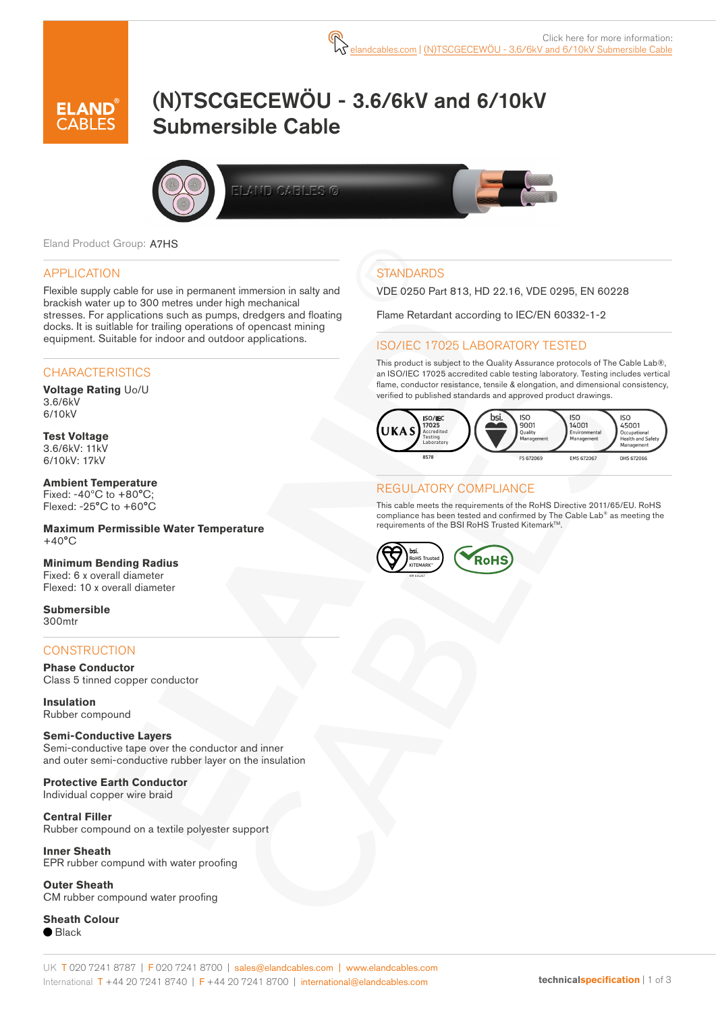

# (N)TSCGECEWÖU - 3.6/6kV and 6/10kV Submersible Cable



Eland Product Group: A7HS

#### APPLICATION

Flexible supply cable for use in permanent immersion in salty and brackish water up to 300 metres under high mechanical stresses. For applications such as pumps, dredgers and floating docks. It is suitlable for trailing operations of opencast mining equipment. Suitable for indoor and outdoor applications.

#### **CHARACTERISTICS**

**Voltage Rating** Uo/U 3.6/6kV 6/10kV

**Test Voltage** 3.6/6kV: 11kV 6/10kV: 17kV

**Ambient Temperature** Fixed:  $-40^{\circ}$ C to  $+80^{\circ}$ C; Flexed: -25°C to +60°C

**Maximum Permissible Water Temperature**  $+40^{\circ}$ C

**Minimum Bending Radius** Fixed: 6 x overall diameter Flexed: 10 x overall diameter

**Submersible** 300mtr

#### **CONSTRUCTION**

**Phase Conductor** Class 5 tinned copper conductor

**Insulation** Rubber compound

#### **Semi-Conductive Layers**

Semi-conductive tape over the conductor and inner and outer semi-conductive rubber layer on the insulation

**Protective Earth Conductor** Individual copper wire braid

**Central Filler** Rubber compound on a textile polyester support

**Inner Sheath** EPR rubber compund with water proofing

**Outer Sheath** CM rubber compound water proofing

**Sheath Colour**  $\bullet$  Black

### **STANDARDS**

VDE 0250 Part 813, HD 22.16, VDE 0295, EN 60228

Flame Retardant according to IEC/EN 60332-1-2

#### ISO/IEC 17025 LABORATORY TESTED

This product is subject to the Quality Assurance protocols of The Cable Lab®, an ISO/IEC 17025 accredited cable testing laboratory. Testing includes vertical flame, conductor resistance, tensile & elongation, and dimensional consistency, verified to published standards and approved product drawings.



#### REGULATORY COMPLIANCE

This cable meets the requirements of the RoHS Directive 2011/65/EU. RoHS compliance has been tested and confirmed by The Cable Lab® as meeting the requirements of the BSI RoHS Trusted Kitemark™.

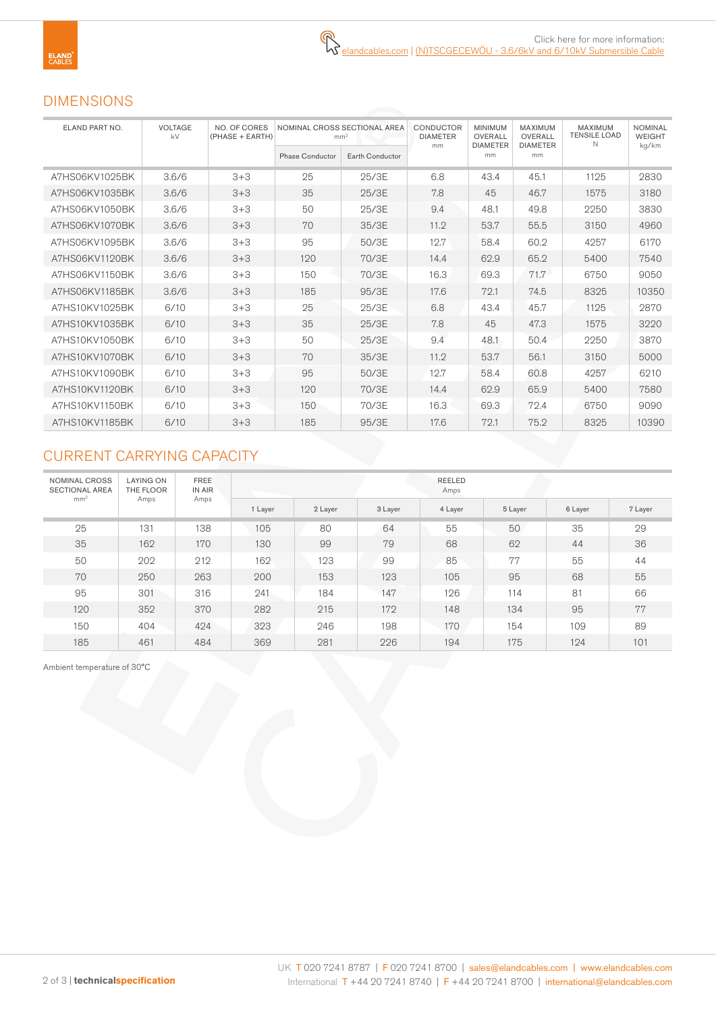# DIMENSIONS

| ELAND PART NO. | VOLTAGE<br>kV | NO. OF CORES<br>(PHASE + EARTH) | mm <sup>2</sup>        | NOMINAL CROSS SECTIONAL AREA | CONDUCTOR<br><b>DIAMETER</b> | <b>MINIMUM</b><br>OVERALL | MAXIMUM<br>OVERALL    | <b>MAXIMUM</b><br><b>TENSILE LOAD</b><br>N | <b>NOMINAL</b><br><b>WEIGHT</b> |  |
|----------------|---------------|---------------------------------|------------------------|------------------------------|------------------------------|---------------------------|-----------------------|--------------------------------------------|---------------------------------|--|
|                |               |                                 | <b>Phase Conductor</b> | Earth Conductor              | mm                           | <b>DIAMETER</b><br>mm     | <b>DIAMETER</b><br>mm |                                            | kg/km                           |  |
| A7HS06KV1025BK | 3.6/6         | $3 + 3$                         | 25                     | 25/3E                        | 6.8                          | 43.4                      | 45.1                  | 1125                                       | 2830                            |  |
| A7HS06KV1035BK | 3.6/6         | $3 + 3$                         | 35                     | 25/3E                        | 7.8                          | 45                        | 46.7                  | 1575                                       | 3180                            |  |
| A7HS06KV1050BK | 3.6/6         | $3 + 3$                         | 50                     | 25/3E                        | 9.4                          | 48.1                      | 49.8                  | 2250                                       | 3830                            |  |
| A7HS06KV1070BK | 3.6/6         | $3 + 3$                         | 70                     | 35/3E                        | 11.2                         |                           | 55.5                  | 3150                                       | 4960                            |  |
| A7HS06KV1095BK | 3.6/6         | $3 + 3$                         | 95                     | 50/3E                        | 12.7                         | 58.4                      | 60.2                  | 4257                                       | 6170                            |  |
| A7HS06KV1120BK | 3.6/6         | $3 + 3$                         | 120                    | 70/3E                        | 14.4                         | 62.9                      | 65.2                  | 5400                                       | 7540                            |  |
| A7HS06KV1150BK | 3.6/6         | $3 + 3$                         | 150                    | 70/3E                        | 16.3                         | 69.3                      | 71.7                  | 6750                                       | 9050                            |  |
| A7HS06KV1185BK | 3.6/6         | $3 + 3$                         | 185                    | 95/3E                        | 17.6                         | 72.1                      | 74.5                  | 8325                                       | 10350                           |  |
| A7HS10KV1025BK | 6/10          | $3 + 3$                         | 25                     | 25/3E                        | 6.8                          | 43.4                      | 45.7                  | 1125                                       | 2870                            |  |
| A7HS10KV1035BK | 6/10          | $3 + 3$                         | 35                     | 25/3E                        | 7.8                          | 45                        | 47.3                  | 1575                                       | 3220                            |  |
| A7HS10KV1050BK | 6/10          | $3 + 3$                         | 50                     | 25/3E                        | 9.4                          | 48.1                      | 50.4                  | 2250                                       | 3870                            |  |
| A7HS10KV1070BK | 6/10          | $3+3$                           | 70                     | 35/3E                        | 11.2                         | 53.7                      | 56.1                  | 3150                                       | 5000                            |  |
| A7HS10KV1090BK | 6/10          | $3+3$                           | 95                     | 50/3E                        | 12.7                         | 58.4                      | 60.8                  | 4257                                       | 6210                            |  |
| A7HS10KV1120BK | 6/10          | $3 + 3$                         | 120                    | 70/3E                        | 14.4                         | 62.9                      | 65.9                  | 5400                                       | 7580                            |  |
| A7HS10KV1150BK | 6/10          | $3 + 3$                         | 150                    | 70/3E                        | 16.3                         | 69.3                      | 72.4                  | 6750                                       | 9090                            |  |
| A7HS10KV1185BK | 6/10          | $3+3$                           | 185                    | 95/3E                        | 17.6                         | 72.1                      | 75.2                  | 8325                                       | 10390                           |  |

# CURRENT CARRYING CAPACITY

| NOMINAL CROSS<br><b>SECTIONAL AREA</b><br>mm <sup>2</sup> | <b>LAYING ON</b><br>THE FLOOR | <b>FREE</b><br>IN AIR<br>Amps | REELED<br>Amps |         |         |         |         |         |         |  |  |  |  |
|-----------------------------------------------------------|-------------------------------|-------------------------------|----------------|---------|---------|---------|---------|---------|---------|--|--|--|--|
|                                                           | Amps                          |                               | 1 Layer        | 2 Layer | 3 Layer | 4 Layer | 5 Layer | 6 Layer | 7 Layer |  |  |  |  |
| 25                                                        | 131                           | 138                           | 105            | 80      | 64      | 55      | 50      | 35      | 29      |  |  |  |  |
| 35                                                        | 162                           | 170                           | 130            | 99      | 79      | 68      | 62      | 44      | 36      |  |  |  |  |
| 50                                                        | 202                           | 212                           | 162            | 123     | 99      | 85      | 77      | 55      | 44      |  |  |  |  |
| 70                                                        | 250                           | 263                           | 200            | 153     | 123     | 105     | 95      | 68      | 55      |  |  |  |  |
| 95                                                        | 301                           | 316                           | 241            | 184     | 147     | 126     | 114     | 81      | 66      |  |  |  |  |
| 120                                                       | 352                           | 370                           | 282            | 215     | 172     | 148     | 134     | 95      | 77      |  |  |  |  |
| 150                                                       | 404                           | 424                           | 323            | 246     | 198     | 170     | 154     | 109     | 89      |  |  |  |  |
| 185                                                       | 461                           | 484                           | 369            | 281     | 226     | 194     | 175     | 124     | 101     |  |  |  |  |

Ambient temperature of 30°C